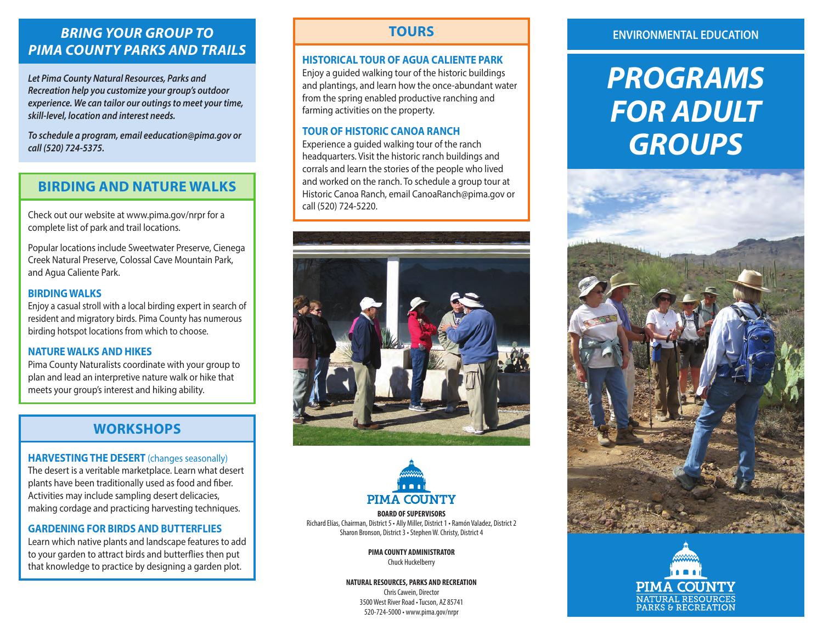# *BRING YOUR GROUP TO PIMA COUNTY PARKS AND TRAILS*

*Let Pima County Natural Resources, Parks and Recreation help you customize your group's outdoor experience. We can tailor our outings to meet your time, skill-level, location and interest needs.* 

*To schedule a program, email eeducation@pima.gov or call (520) 724-5375.*

# **BIRDING AND NATURE WALKS**

Check out our website at www.pima.gov/nrpr for a complete list of park and trail locations.

Popular locations include Sweetwater Preserve, Cienega Creek Natural Preserve, Colossal Cave Mountain Park, and Agua Caliente Park.

### **BIRDING WALKS**

Enjoy a casual stroll with a local birding expert in search of resident and migratory birds. Pima County has numerous birding hotspot locations from which to choose.

#### **NATURE WALKS AND HIKES**

Pima County Naturalists coordinate with your group to plan and lead an interpretive nature walk or hike that meets your group's interest and hiking ability.

# **WORKSHOPS**

#### **HARVESTING THE DESERT** (changes seasonally)

The desert is a veritable marketplace. Learn what desert plants have been traditionally used as food and fiber. Activities may include sampling desert delicacies, making cordage and practicing harvesting techniques.

# **GARDENING FOR BIRDS AND BUTTERFLIES**

Learn which native plants and landscape features to add to your garden to attract birds and butterflies then put that knowledge to practice by designing a garden plot.

# **TOURS**

#### **HISTORICAL TOUR OF AGUA CALIENTE PARK**

Enjoy a guided walking tour of the historic buildings and plantings, and learn how the once-abundant water from the spring enabled productive ranching and farming activities on the property.

# **TOUR OF HISTORIC CANOA RANCH**

Experience a guided walking tour of the ranch headquarters. Visit the historic ranch buildings and corrals and learn the stories of the people who lived and worked on the ranch. To schedule a group tour at Historic Canoa Ranch, email CanoaRanch@pima.gov or call (520) 724-5220.





**BOARD OF SUPERVISORS** Richard Elías, Chairman, District 5 • Ally Miller, District 1 • Ramón Valadez, District 2 Sharon Bronson, District 3 • Stephen W. Christy, District 4

> **PIMA COUNTY ADMINISTRATOR** Chuck Huckelberry

**NATURAL RESOURCES, PARKS AND RECREATION** Chris Cawein, Director 3500 West River Road • Tucson, AZ 85741 520-724-5000 • www.pima.gov/nrpr

## **ENVIRONMENTAL EDUCATION**

# *PROGRAMS FOR ADULT GROUPS*